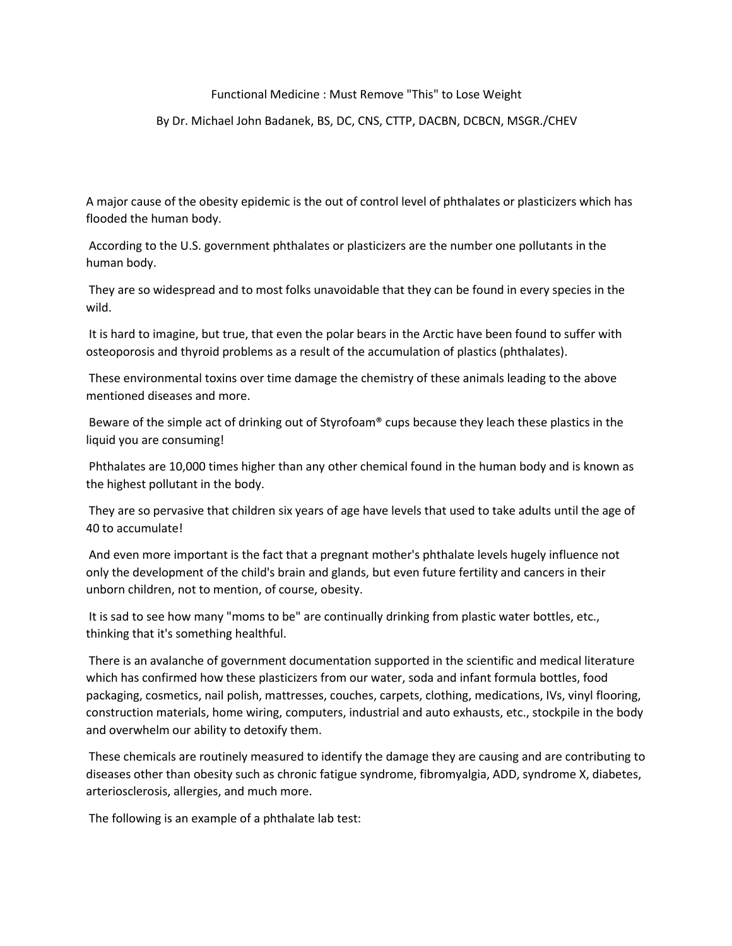## Functional Medicine : Must Remove "This" to Lose Weight

## By Dr. Michael John Badanek, BS, DC, CNS, CTTP, DACBN, DCBCN, MSGR./CHEV

A major cause of the obesity epidemic is the out of control level of phthalates or plasticizers which has flooded the human body.

According to the U.S. government phthalates or plasticizers are the number one pollutants in the human body.

They are so widespread and to most folks unavoidable that they can be found in every species in the wild.

It is hard to imagine, but true, that even the polar bears in the Arctic have been found to suffer with osteoporosis and thyroid problems as a result of the accumulation of plastics (phthalates).

These environmental toxins over time damage the chemistry of these animals leading to the above mentioned diseases and more.

Beware of the simple act of drinking out of Styrofoam® cups because they leach these plastics in the liquid you are consuming!

Phthalates are 10,000 times higher than any other chemical found in the human body and is known as the highest pollutant in the body.

They are so pervasive that children six years of age have levels that used to take adults until the age of 40 to accumulate!

And even more important is the fact that a pregnant mother's phthalate levels hugely influence not only the development of the child's brain and glands, but even future fertility and cancers in their unborn children, not to mention, of course, obesity.

It is sad to see how many "moms to be" are continually drinking from plastic water bottles, etc.,

thinking that it's something healthful.<br>There is an avalanche of government documentation supported in the scientific and medical literature which has confirmed how these plasticizers from our water, soda and infant formula bottles, food packaging, cosmetics, nail polish, mattresses, couches, carpets, clothing, medications, IVs, vinyl flooring, construction materials, home wiring, computers, industrial and auto exhausts, etc., stockpile in the body and overwhelm our ability to detoxify them.

These chemicals are routinely measured to identify the damage they are causing and are contributing to diseases other than obesity such as chronic fatigue syndrome, fibromyalgia, ADD, syndrome X, diabetes, arteriosclerosis, allergies, and much more.

The following is an example of a phthalate lab test: